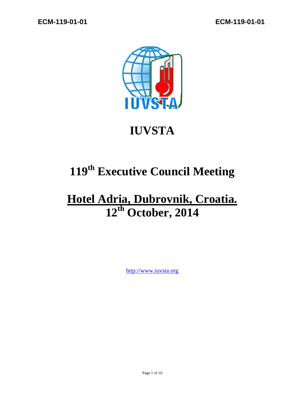

## **IUVSTA**

# **119th Executive Council Meeting**

## **Hotel Adria, Dubrovnik, Croatia. 12th October, 2014**

http://www.iuvsta.org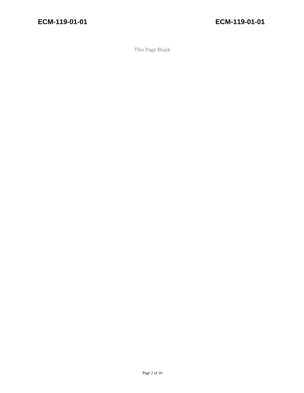This Page Blank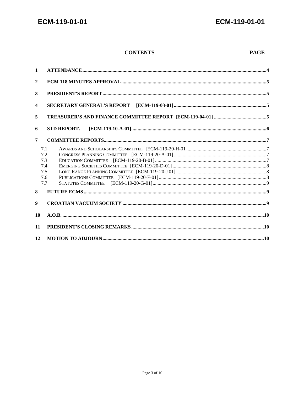### **CONTENTS**

| $\mathbf{1}$            |                    |  |  |  |  |  |
|-------------------------|--------------------|--|--|--|--|--|
| $\boldsymbol{2}$        |                    |  |  |  |  |  |
| 3                       |                    |  |  |  |  |  |
| $\overline{\mathbf{4}}$ |                    |  |  |  |  |  |
| 5                       |                    |  |  |  |  |  |
| 6                       | <b>STD REPORT.</b> |  |  |  |  |  |
| 7                       |                    |  |  |  |  |  |
|                         | 7.1                |  |  |  |  |  |
|                         | 7.2                |  |  |  |  |  |
|                         | 7.3                |  |  |  |  |  |
|                         | 7.4                |  |  |  |  |  |
|                         | 7.5                |  |  |  |  |  |
|                         | 7.6                |  |  |  |  |  |
|                         | 7.7                |  |  |  |  |  |
| 8                       |                    |  |  |  |  |  |
| 9                       |                    |  |  |  |  |  |
| 10                      |                    |  |  |  |  |  |
|                         | 11                 |  |  |  |  |  |
|                         | 12                 |  |  |  |  |  |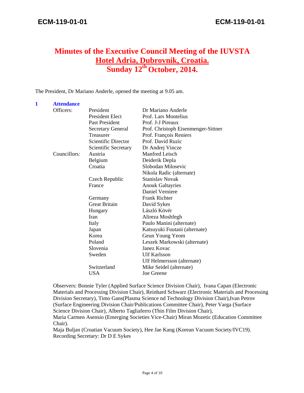## <span id="page-3-0"></span>**Minutes of the Executive Council Meeting of the IUVSTA Hotel Adria, Dubrovnik, Croatia. Sunday 12th October, 2014.**

The President, Dr Mariano Anderle, opened the meeting at 9.05 am.

#### **1 Attendance**

| Officers:    | President                  | Dr Mariano Anderle                  |
|--------------|----------------------------|-------------------------------------|
|              | <b>President Elect</b>     | Prof. Lars Montelius                |
|              | Past President             | Prof. J-J Pireaux                   |
|              | <b>Secretary General</b>   | Prof. Christoph Eisenmenger-Sittner |
|              | Treasurer                  | Prof. François Reniers              |
|              | <b>Scientific Director</b> | Prof. David Ruzic                   |
|              | Scientific Secretary       | Dr Andrej Vincze                    |
| Councillors: | Austria                    | Manfred Leisch                      |
|              | Belgium                    | Deiderik Depla                      |
|              | Croatia                    | Slobodan Milosevic                  |
|              |                            | Nikola Radic (alternate)            |
|              | Czech Republic             | <b>Stanislav Novak</b>              |
|              | France                     | <b>Anouk Galtayries</b>             |
|              |                            | Daniel Verniere                     |
|              | Germany                    | <b>Frank Richter</b>                |
|              | <b>Great Britain</b>       | David Sykes                         |
|              | Hungary                    | László Kövér                        |
|              | Iran                       | Alireza Moshfegh                    |
|              | Italy                      | Paulo Manini (alternate)            |
|              | Japan                      | Katsuyuki Fuutani (alternate)       |
|              | Korea                      | Geun Young Yeom                     |
|              | Poland                     | Leszek Markowski (alternate)        |
|              | Slovenia                   | Janez Kovac                         |
|              | Sweden                     | Ulf Karlsson                        |
|              |                            | Ulf Helmersson (alternate)          |
|              | Switzerland                | Mike Seidel (alternate)             |
|              | <b>USA</b>                 | Joe Greene                          |
|              |                            |                                     |

Observers: Bonnie Tyler (Applied Surface Science Division Chair), Ivana Capan (Electronic Materials and Processing Division Chair), Reinhard Schwarz (Electronic Materials and Processing Division Secretary), Timo Gans(Plasma Science nd Technology Division Chair),Ivan Petrov (Surface Engineering Division Chair/Publications Committee Chair), Peter Varga (Surface Science Division Chair), Alberto Tagliaferro (Thin Film Division Chair), Maria Carmen Asensio (Emerging Societies Vice-Chair) Miran Mozetic (Education Committee Chair).

Maja Buljan (Croatian Vacuum Society), Hee Jae Kang (Korean Vacuum Society/IVC19). Recording Secretary: Dr D E Sykes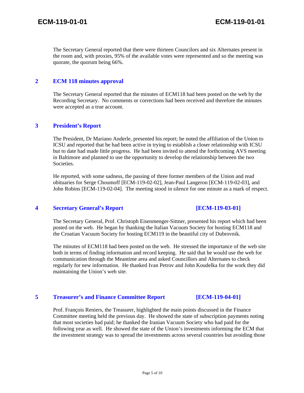<span id="page-4-0"></span>The Secretary General reported that there were thirteen Councilors and six Alternates present in the room and, with proxies, 95% of the available votes were represented and so the meeting was quorate, the quorum being 66%.

### **2 ECM 118 minutes approval**

The Secretary General reported that the minutes of ECM118 had been posted on the web by the Recording Secretary. No comments or corrections had been received and therefore the minutes were accepted as a true account.

### **3 President's Report**

The President, Dr Mariano Anderle, presented his report; he noted the affiliation of the Union to ICSU and reported that he had been active in trying to establish a closer relationship with ICSU but to date had made little progress. He had been invited to attend the forthcoming AVS meeting in Baltimore and planned to use the opportunity to develop the relationship between the two Societies.

He reported, with some sadness, the passing of three former members of the Union and read obituaries for Serge Choumoff [ECM-119-02-02], Jean-Paul Langeron [ECM-119-02-03], and John Robins [ECM-119-02-04]. The meeting stood in silence for one minute as a mark of respect.

### **4 Secretary General's Report [ECM-119-03-01]**

The Secretary General, Prof. Christoph Eisenmenger-Sittner, presented his report which had been posted on the web. He began by thanking the Italian Vacuum Society for hosting ECM118 and the Croatian Vacuum Society for hosting ECM119 in the beautiful city of Dubrovnik.

The minutes of ECM118 had been posted on the web. He stressed the importance of the web site both in terms of finding information and record keeping. He said that he would use the web for communication through the Meantime area and asked Councillors and Alternates to check regularly for new information. He thanked Ivan Petrov and John Koudelka for the work they did maintaining the Union's web site.

### **5 Treasurer's and Finance Committee Report [ECM-119-04-01]**

Prof. François Reniers, the Treasurer, highlighted the main points discussed in the Finance Committee meeting held the previous day. He showed the state of subscription payments noting that most societies had paid; he thanked the Iranian Vacuum Society who had paid for the following year as well. He showed the state of the Union's investments informing the ECM that the investment strategy was to spread the investments across several countries but avoiding those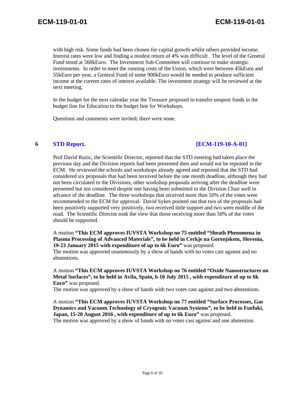<span id="page-5-0"></span>with high risk. Some funds had been chosen for capital growth whilst others provided income. Interest rates were low and finding a modest return of 4% was difficult. The level of the General Fund stood at 560kEuro. The Investment Sub-Committee will continue to make strategic investments. In order to meet the running costs of the Union, which were between 45kEuro and 55kEuro per year, a General Fund of some 900kEuro would be needed to produce sufficient income at the current rates of interest available. The investment strategy will be reviewed at the next meeting.

In the budget for the next calendar year the Treasure proposed to transfer unspent funds in the budget line for Education to the budget line for Workshops.

Questions and comments were invited; there were none.

### **6 STD Report. [ECM-119-10-A-01]**

Prof David Ruzic, the Scientific Director, reported that the STD meeting had taken place the previous day and the Division reports had been presented then and would not be repeated in the ECM. He reviewed the schools and workshops already agreed and reported that the STD had considered six proposals that had been received before the one month deadline, although they had not been circulated to the Divisions, other workshop proposals arriving after the deadline were presented but not considered despite one having been submitted to the Division Chair well in advance of the deadline. The three workshops that received more than 50% of the votes were recommended to the ECM for approval. David Sykes pointed out that two of the proposals had been positively supported very positively, two received little support and two were middle of the road. The Scientific Director took the view that those receiving more than 50% of the votes should be supported.

#### A motion **"This ECM approves IUVSTA Workshop no 75 entitled "Sheath Phenomena in Plasma Processing of Advanced Materials", to be held in Cerkje na Gorenjskem, Slovenia, 19-23 January 2015 with expenditure of up to 6k Euro"** was proposed.

The motion was approved unanimously by a show of hands with no votes cast against and no abstentions.

#### A motion **"This ECM approves IUVSTA Workshop no 76 entitled "Oxide Nanostructures on Metal Surfaces", to be held in Avila, Spain, 6-10 July 2015 , with expenditure of up to 6k Euro"** was proposed.

The motion was approved by a show of hands with two votes cast against and two abstentions.

A motion **"This ECM approves IUVSTA Workshop no 77 entitled "Surface Processes, Gas Dynamics and Vacuum Technology of Cryogenic Vacuum Systems", to be held in Fuefuki, Japan, 15-20 August 2016 , with expenditure of up to 6k Euro"** was proposed. The motion was approved by a show of hands with no votes cast against and one abstention.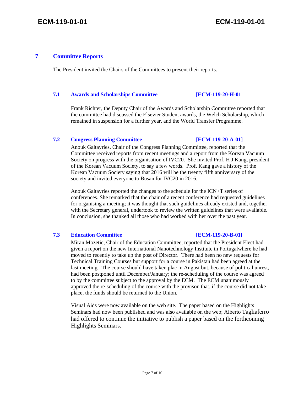### <span id="page-6-0"></span>**7 Committee Reports**

The President invited the Chairs of the Committees to present their reports.

#### **7.1 Awards and Scholarships Committee [ECM-119-20-H-01**

Frank Richter, the Deputy Chair of the Awards and Scholarship Committee reported that the committee had discussed the Elsevier Student awards, the Welch Scholarship, which remained in suspension for a further year, and the World Transfer Programme.

#### **7.2 Congress Planning Committee [ECM-119-20-A-01]**

Anouk Galtayries, Chair of the Congress Planning Committee, reported that the Committee received reports from recent meetings and a report from the Korean Vacuum Society on progress with the organisation of IVC20. She invited Prof. H J Kang, president of the Korean Vacuum Society, to say a few words. Prof. Kang gave a history of the Korean Vacuum Society saying that 2016 will be the twenty fifth anniversary of the society and invited everyone to Busan for IVC20 in 2016.

Anouk Galtayries reported the changes to the schedule for the ICN+T series of conferences. She remarked that the chair of a recent conference had requested guidelines for organising a meeting; it was thought that such guidelines already existed and, together with the Secretary general, undertook to review the written guidelines that were available. In conclusion, she thanked all those who had worked with her over the past year.

### **7.3 Education Committee [ECM-119-20-B-01]**

Miran Mozetic, Chair of the Education Committee, reported that the President Elect had given a report on the new International Nanotechnology Institute in Portugalwhere he had moved to recently to take up the post of Director. There had been no new requests for Technical Training Courses but support for a course in Pakistan had been agreed at the last meeting. The course should have taken plac in August but, because of political unrest, had been postponed until December/January; the re-scheduling of the course was agreed to by the committee subject to the approval by the ECM. The ECM unanimously approved the re-scheduling of the course with the provison that, if the course did not take place, the funds should be returned to the Union.

Visual Aids were now available on the web site. The paper based on the Highlights Seminars had now been published and was also available on the web; Alberto Tagliaferro had offered to continue the initiative to publish a paper based on the forthcoming Highlights Seminars.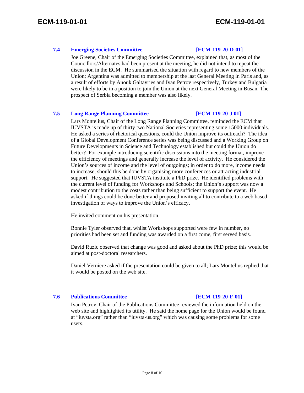### <span id="page-7-0"></span>**7.4 Emerging Societies Committee [ECM-119-20-D-01]**

Joe Greene, Chair of the Emerging Societies Committee, explained that, as most of the Councillors/Alternates had been present at the meeting, he did not intend to repeat the discussion in the ECM. He summarised the situation with regard to new members of the Union; Argentina was admitted to membership at the last General Meeting in Paris and, as a result of efforts by Anouk Galtayries and Ivan Petrov respectively, Turkey and Bulgaria were likely to be in a position to join the Union at the next General Meeting in Busan. The prospect of Serbia becoming a member was also likely.

#### **7.5 Long Range Planning Committee [ECM-119-20-J 01]**

#### Lars Montelius, Chair of the Long Range Planning Committee, reminded the ECM that IUVSTA is made up of thirty two National Societies representing some 15000 individuals. He asked a series of rhetorical questions, could the Union improve its outreach? The idea of a Global Development Conference series was being discussed and a Working Group on Future Developments in Science and Technology established but could the Union do better? For example introducing scientific discussions into the meeting format, improve the efficiency of meetings and generally increase the level of activity. He considered the Union's sources of income and the level of outgoings; in order to do more, income needs to increase, should this be done by organising more conferences or attracting industrial support. He suggested that IUVSTA institute a PhD prize. He identified problems with the current level of funding for Workshops and Schools; the Union's support was now a modest contribution to the costs rather than being sufficient to support the event. He asked if things could be done better and proposed inviting all to contribute to a web based investigation of ways to improve the Union's efficacy.

He invited comment on his presentation.

Bonnie Tyler observed that, whilst Workshops supported were few in number, no priorities had been set and funding was awarded on a first come, first served basis.

David Ruzic observed that change was good and asked about the PhD prize; this would be aimed at post-doctoral researchers.

Daniel Verniere asked if the presentation could be given to all; Lars Montelius replied that it would be posted on the web site.

### **7.6 Publications Committee [ECM-119-20-F-01]**

Ivan Petrov, Chair of the Publications Committee reviewed the information held on the web site and highlighted its utility. He said the home page for the Union would be found at "iuvsta.org" rather than "iuvsta-us.org" which was causing some problems for some users.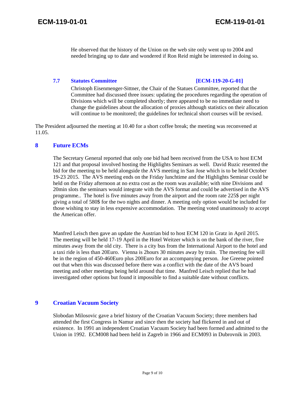<span id="page-8-0"></span>He observed that the history of the Union on the web site only went up to 2004 and needed bringing up to date and wondered if Ron Reid might be interested in doing so.

#### **7.7 Statutes Committee [ECM-119-20-G-01]**

Christoph Eisenmenger-Sittner, the Chair of the Statues Committee, reported that the Committee had discussed three issues: updating the procedures regarding the operation of Divisions which will be completed shortly; there appeared to be no immediate need to change the guidelines about the allocation of proxies although statistics on their allocation will continue to be monitored; the guidelines for technical short courses will be revised.

The President adjourned the meeting at 10.40 for a short coffee break; the meeting was reconvened at 11.05.

#### **8 Future ECMs**

The Secretary General reported that only one bid had been received from the USA to host ECM 121 and that proposal involved hosting the Highlights Seminars as well. David Ruzic resented the bid for the meeting to be held alongside the AVS meeting in San Jose which is to be held October 19-23 2015. The AVS meeting ends on the Friday lunchtime and the Highlights Seminar could be held on the Friday afternoon at no extra cost as the room was available; with nine Divisions and 20min slots the seminars would integrate with the AVS format and could be advertised in the AVS programme.. The hotel is five minutes away from the airport and the room rate 225\$ per night giving a total of 580\$ for the two nights and dinner. A meeting only option would be included for those wishing to stay in less expensive accommodation. The meeting voted unanimously to accept the American offer.

Manfred Leisch then gave an update the Austrian bid to host ECM 120 in Gratz in April 2015. The meeting will be held 17-19 April in the Hotel Weitzer which is on the bank of the river, five minutes away from the old city. There is a city bus from the International Airport to the hotel and a taxi ride is less than 20Euro. Vienna is 2hours 30 minutes away by train. The meeting fee will be in the region of 450-460Euro plus 200Euro for an accompanying person. Joe Greene pointed out that when this was discussed before there was a conflict with the date of the AVS board meeting and other meetings being held around that time. Manfred Leisch replied that he had investigated other options but found it impossible to find a suitable date without conflicts.

### **9 Croatian Vacuum Society**

Slobodan Milosovic gave a brief history of the Croatian Vacuum Society; three members had attended the first Congress in Namur and since then the society had flickered in and out of existence. In 1991 an independent Croatian Vacuum Society had been formed and admitted to the Union in 1992. ECM008 had been held in Zagreb in 1966 and ECM093 in Dubrovnik in 2003.